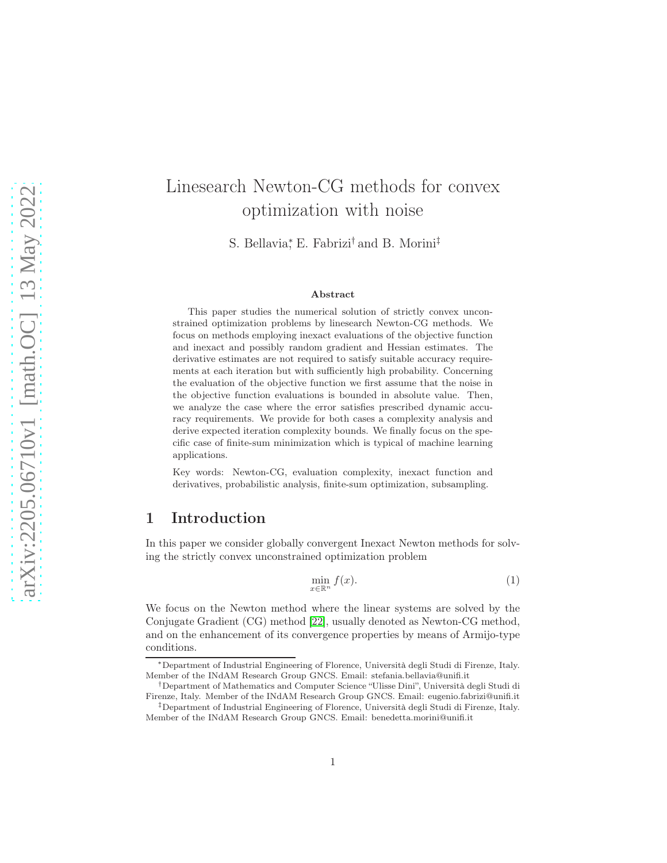# Linesearch Newton-CG methods for convex optimization with noise

S. Bellavia<sup>\*</sup>, E. Fabrizi<sup>†</sup> and B. Morini<sup>‡</sup>

### Abstract

This paper studies the numerical solution of strictly convex unconstrained optimization problems by linesearch Newton-CG methods. We focus on methods employing inexact evaluations of the objective function and inexact and possibly random gradient and Hessian estimates. The derivative estimates are not required to satisfy suitable accuracy requirements at each iteration but with sufficiently high probability. Concerning the evaluation of the objective function we first assume that the noise in the objective function evaluations is bounded in absolute value. Then, we analyze the case where the error satisfies prescribed dynamic accuracy requirements. We provide for both cases a complexity analysis and derive expected iteration complexity bounds. We finally focus on the specific case of finite-sum minimization which is typical of machine learning applications.

Key words: Newton-CG, evaluation complexity, inexact function and derivatives, probabilistic analysis, finite-sum optimization, subsampling.

# 1 Introduction

In this paper we consider globally convergent Inexact Newton methods for solving the strictly convex unconstrained optimization problem

<span id="page-0-0"></span>
$$
\min_{x \in \mathbb{R}^n} f(x). \tag{1}
$$

We focus on the Newton method where the linear systems are solved by the Conjugate Gradient (CG) method [\[22\]](#page-19-0), usually denoted as Newton-CG method, and on the enhancement of its convergence properties by means of Armijo-type conditions.

<sup>∗</sup>Department of Industrial Engineering of Florence, Università degli Studi di Firenze, Italy. Member of the INdAM Research Group GNCS. Email: stefania.bellavia@unifi.it

<sup>†</sup>Department of Mathematics and Computer Science "Ulisse Dini", Università degli Studi di Firenze, Italy. Member of the INdAM Research Group GNCS. Email: eugenio.fabrizi@unifi.it

<sup>‡</sup>Department of Industrial Engineering of Florence, Università degli Studi di Firenze, Italy. Member of the INdAM Research Group GNCS. Email: benedetta.morini@unifi.it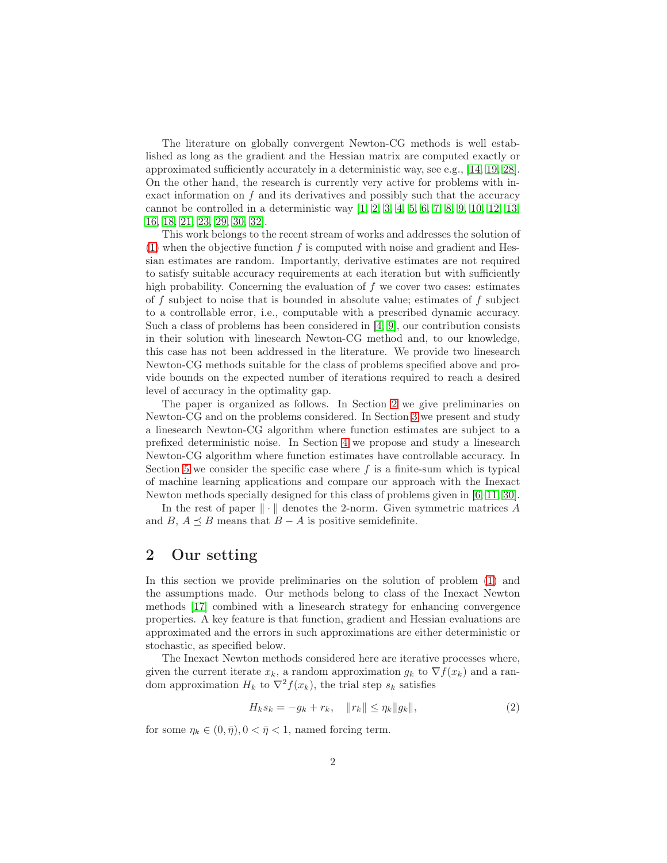The literature on globally convergent Newton-CG methods is well established as long as the gradient and the Hessian matrix are computed exactly or approximated sufficiently accurately in a deterministic way, see e.g., [\[14,](#page-19-1) [19,](#page-19-2) [28\]](#page-20-0). On the other hand, the research is currently very active for problems with inexact information on  $f$  and its derivatives and possibly such that the accuracy cannot be controlled in a deterministic way [\[1,](#page-18-0) [2,](#page-18-1) [3,](#page-18-2) [4,](#page-18-3) [5,](#page-18-4) [6,](#page-18-5) [7,](#page-18-6) [8,](#page-18-7) [9,](#page-18-8) [10,](#page-18-9) [12,](#page-19-3) [13,](#page-19-4) [16,](#page-19-5) [18,](#page-19-6) [21,](#page-19-7) [23,](#page-19-8) [29,](#page-20-1) [30,](#page-20-2) [32\]](#page-20-3).

This work belongs to the recent stream of works and addresses the solution of [\(1\)](#page-0-0) when the objective function f is computed with noise and gradient and Hessian estimates are random. Importantly, derivative estimates are not required to satisfy suitable accuracy requirements at each iteration but with sufficiently high probability. Concerning the evaluation of  $f$  we cover two cases: estimates of  $f$  subject to noise that is bounded in absolute value; estimates of  $f$  subject to a controllable error, i.e., computable with a prescribed dynamic accuracy. Such a class of problems has been considered in [\[4,](#page-18-3) [9\]](#page-18-8), our contribution consists in their solution with linesearch Newton-CG method and, to our knowledge, this case has not been addressed in the literature. We provide two linesearch Newton-CG methods suitable for the class of problems specified above and provide bounds on the expected number of iterations required to reach a desired level of accuracy in the optimality gap.

The paper is organized as follows. In Section [2](#page-1-0) we give preliminaries on Newton-CG and on the problems considered. In Section [3](#page-5-0) we present and study a linesearch Newton-CG algorithm where function estimates are subject to a prefixed deterministic noise. In Section [4](#page-10-0) we propose and study a linesearch Newton-CG algorithm where function estimates have controllable accuracy. In Section [5](#page-15-0) we consider the specific case where  $f$  is a finite-sum which is typical of machine learning applications and compare our approach with the Inexact Newton methods specially designed for this class of problems given in [\[6,](#page-18-5) [11,](#page-18-10) [30\]](#page-20-2).

In the rest of paper  $\|\cdot\|$  denotes the 2-norm. Given symmetric matrices A and B,  $A \preceq B$  means that  $B - A$  is positive semidefinite.

# <span id="page-1-0"></span>2 Our setting

In this section we provide preliminaries on the solution of problem [\(1\)](#page-0-0) and the assumptions made. Our methods belong to class of the Inexact Newton methods [\[17\]](#page-19-9) combined with a linesearch strategy for enhancing convergence properties. A key feature is that function, gradient and Hessian evaluations are approximated and the errors in such approximations are either deterministic or stochastic, as specified below.

The Inexact Newton methods considered here are iterative processes where, given the current iterate  $x_k$ , a random approximation  $g_k$  to  $\nabla f(x_k)$  and a random approximation  $H_k$  to  $\nabla^2 f(x_k)$ , the trial step  $s_k$  satisfies

<span id="page-1-1"></span>
$$
H_k s_k = -g_k + r_k, \quad ||r_k|| \le \eta_k ||g_k||,
$$
\n(2)

for some  $\eta_k \in (0, \bar{\eta}), 0 < \bar{\eta} < 1$ , named forcing term.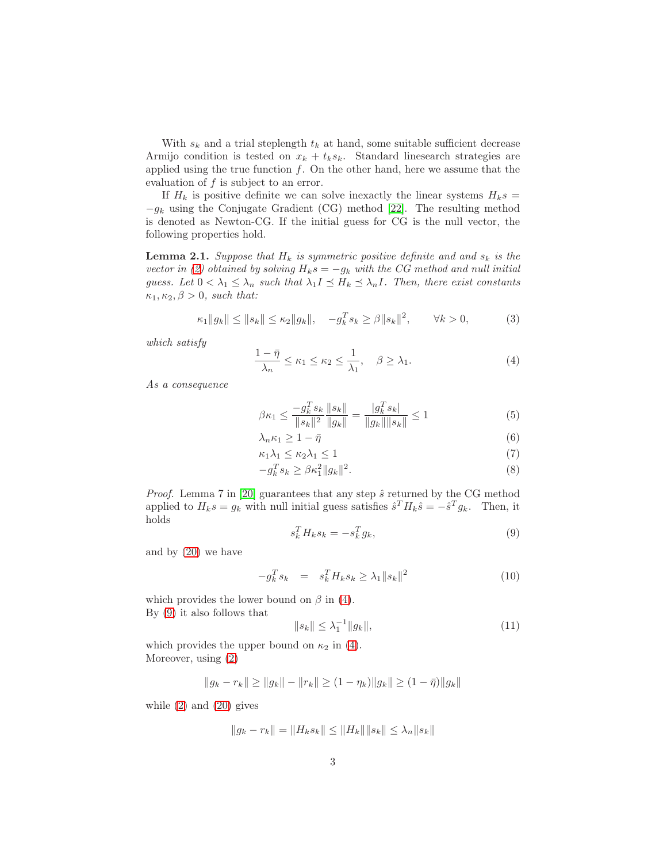With  $s_k$  and a trial steplength  $t_k$  at hand, some suitable sufficient decrease Armijo condition is tested on  $x_k + t_k s_k$ . Standard linesearch strategies are applied using the true function  $f$ . On the other hand, here we assume that the evaluation of  $f$  is subject to an error.

If  $H_k$  is positive definite we can solve inexactly the linear systems  $H_k s =$  $-g_k$  using the Conjugate Gradient (CG) method [\[22\]](#page-19-0). The resulting method is denoted as Newton-CG. If the initial guess for CG is the null vector, the following properties hold.

<span id="page-2-4"></span>**Lemma 2.1.** Suppose that  $H_k$  is symmetric positive definite and and  $s_k$  is the vector in [\(2\)](#page-1-1) obtained by solving  $H_ks = -g_k$  with the CG method and null initial guess. Let  $0 < \lambda_1 \leq \lambda_n$  such that  $\lambda_1 I \leq H_k \leq \lambda_n I$ . Then, there exist constants  $\kappa_1, \kappa_2, \beta > 0$ , such that:

<span id="page-2-3"></span>
$$
\kappa_1 \|g_k\| \le \|s_k\| \le \kappa_2 \|g_k\|, \quad -g_k^T s_k \ge \beta \|s_k\|^2, \quad \forall k > 0,
$$
 (3)

which satisfy

<span id="page-2-0"></span>
$$
\frac{1-\bar{\eta}}{\lambda_n} \le \kappa_1 \le \kappa_2 \le \frac{1}{\lambda_1}, \quad \beta \ge \lambda_1. \tag{4}
$$

As a consequence

<span id="page-2-2"></span>
$$
\beta \kappa_1 \le \frac{-g_k^T s_k}{\|s_k\|^2} \frac{\|s_k\|}{\|g_k\|} = \frac{|g_k^T s_k|}{\|g_k\| \|s_k\|} \le 1
$$
\n(5)

$$
\lambda_n \kappa_1 \ge 1 - \bar{\eta} \tag{6}
$$

$$
\kappa_1 \lambda_1 \le \kappa_2 \lambda_1 \le 1 \tag{7}
$$

$$
-g_k^T s_k \ge \beta \kappa_1^2 \|g_k\|^2. \tag{8}
$$

*Proof.* Lemma 7 in [\[20\]](#page-19-10) guarantees that any step  $\hat{s}$  returned by the CG method applied to  $H_k s = g_k$  with null initial guess satisfies  $\hat{s}^T H_k \hat{s} = -\hat{s}^T g_k$ . Then, it holds

<span id="page-2-1"></span>
$$
s_k^T H_k s_k = -s_k^T g_k,\tag{9}
$$

and by [\(20\)](#page-4-0) we have

$$
-g_k^T s_k = s_k^T H_k s_k \ge \lambda_1 \|s_k\|^2 \tag{10}
$$

which provides the lower bound on  $\beta$  in [\(4\)](#page-2-0). By [\(9\)](#page-2-1) it also follows that

$$
||s_k|| \leq \lambda_1^{-1} ||g_k||,\tag{11}
$$

which provides the upper bound on  $\kappa_2$  in [\(4\)](#page-2-0). Moreover, using [\(2\)](#page-1-1)

$$
||g_k - r_k|| \ge ||g_k|| - ||r_k|| \ge (1 - \eta_k) ||g_k|| \ge (1 - \bar{\eta}) ||g_k||
$$

while  $(2)$  and  $(20)$  gives

$$
||g_k - r_k|| = ||H_k s_k|| \le ||H_k|| ||s_k|| \le \lambda_n ||s_k||
$$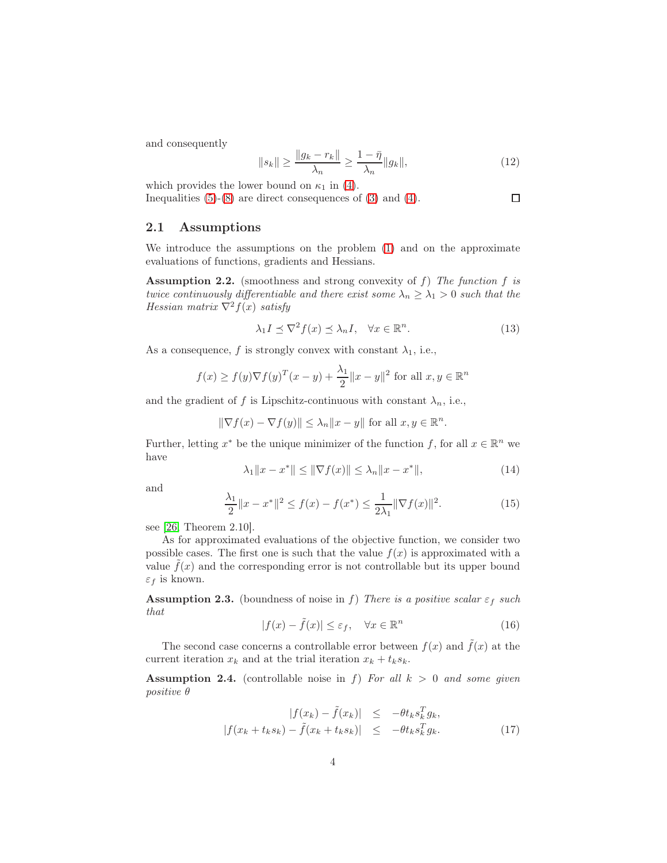and consequently

$$
||s_k|| \ge \frac{||g_k - r_k||}{\lambda_n} \ge \frac{1 - \overline{\eta}}{\lambda_n} ||g_k||,
$$
\n(12)

 $\Box$ 

which provides the lower bound on  $\kappa_1$  in [\(4\)](#page-2-0). Inequalities  $(5)-(8)$  $(5)-(8)$  are direct consequences of  $(3)$  and  $(4)$ .

### 2.1 Assumptions

We introduce the assumptions on the problem [\(1\)](#page-0-0) and on the approximate evaluations of functions, gradients and Hessians.

<span id="page-3-4"></span>**Assumption 2.2.** (smoothness and strong convexity of  $f$ ) The function  $f$  is twice continuously differentiable and there exist some  $\lambda_n \geq \lambda_1 > 0$  such that the Hessian matrix  $\nabla^2 f(x)$  satisfy

<span id="page-3-0"></span>
$$
\lambda_1 I \preceq \nabla^2 f(x) \preceq \lambda_n I, \quad \forall x \in \mathbb{R}^n. \tag{13}
$$

As a consequence, f is strongly convex with constant  $\lambda_1$ , i.e.,

$$
f(x) \ge f(y)\nabla f(y)^T (x - y) + \frac{\lambda_1}{2} ||x - y||^2
$$
 for all  $x, y \in \mathbb{R}^n$ 

and the gradient of f is Lipschitz-continuous with constant  $\lambda_n$ , i.e.,

$$
\|\nabla f(x) - \nabla f(y)\| \le \lambda_n \|x - y\| \text{ for all } x, y \in \mathbb{R}^n.
$$

Further, letting  $x^*$  be the unique minimizer of the function f, for all  $x \in \mathbb{R}^n$  we have

<span id="page-3-7"></span>
$$
\lambda_1 \|x - x^*\| \le \|\nabla f(x)\| \le \lambda_n \|x - x^*\|,\tag{14}
$$

and

<span id="page-3-5"></span>
$$
\frac{\lambda_1}{2} \|x - x^*\|^2 \le f(x) - f(x^*) \le \frac{1}{2\lambda_1} \|\nabla f(x)\|^2. \tag{15}
$$

see [\[26,](#page-20-4) Theorem 2.10].

As for approximated evaluations of the objective function, we consider two possible cases. The first one is such that the value  $f(x)$  is approximated with a value  $f(x)$  and the corresponding error is not controllable but its upper bound  $\varepsilon_f$  is known.

<span id="page-3-1"></span>**Assumption 2.3.** (boundness of noise in f) There is a positive scalar  $\varepsilon_f$  such that

<span id="page-3-3"></span>
$$
|f(x) - \tilde{f}(x)| \le \varepsilon_f, \quad \forall x \in \mathbb{R}^n \tag{16}
$$

The second case concerns a controllable error between  $f(x)$  and  $\tilde{f}(x)$  at the current iteration  $x_k$  and at the trial iteration  $x_k + t_k s_k$ .

<span id="page-3-2"></span>Assumption 2.4. (controllable noise in f) For all  $k > 0$  and some given positive θ

<span id="page-3-6"></span>
$$
|f(x_k) - \tilde{f}(x_k)| \le -\theta t_k s_k^T g_k,
$$
  

$$
|f(x_k + t_k s_k) - \tilde{f}(x_k + t_k s_k)| \le -\theta t_k s_k^T g_k.
$$
 (17)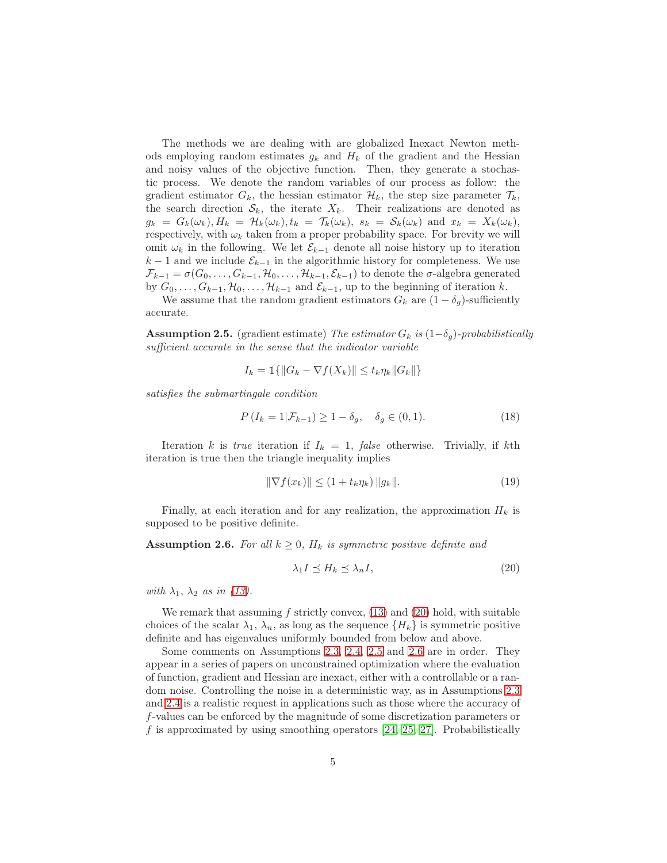The methods we are dealing with are globalized Inexact Newton methods employing random estimates  $g_k$  and  $H_k$  of the gradient and the Hessian and noisy values of the objective function. Then, they generate a stochastic process. We denote the random variables of our process as follow: the gradient estimator  $G_k$ , the hessian estimator  $\mathcal{H}_k$ , the step size parameter  $\mathcal{T}_k$ , the search direction  $S_k$ , the iterate  $X_k$ . Their realizations are denoted as  $g_k = G_k(\omega_k), H_k = \mathcal{H}_k(\omega_k), t_k = \mathcal{T}_k(\omega_k), s_k = \mathcal{S}_k(\omega_k)$  and  $x_k = X_k(\omega_k),$ respectively, with  $\omega_k$  taken from a proper probability space. For brevity we will omit  $\omega_k$  in the following. We let  $\mathcal{E}_{k-1}$  denote all noise history up to iteration  $k-1$  and we include  $\mathcal{E}_{k-1}$  in the algorithmic history for completeness. We use  $\mathcal{F}_{k-1} = \sigma(G_0, \ldots, G_{k-1}, \mathcal{H}_0, \ldots, \mathcal{H}_{k-1}, \mathcal{E}_{k-1})$  to denote the  $\sigma$ -algebra generated by  $G_0, \ldots, G_{k-1}, \mathcal{H}_0, \ldots, \mathcal{H}_{k-1}$  and  $\mathcal{E}_{k-1}$ , up to the beginning of iteration k.

We assume that the random gradient estimators  $G_k$  are  $(1 - \delta_q)$ -sufficiently accurate.

<span id="page-4-1"></span>**Assumption 2.5.** (gradient estimate) The estimator  $G_k$  is  $(1-\delta_g)$ -probabilistically sufficient accurate in the sense that the indicator variable

$$
I_k = \mathbb{1}\{\|G_k - \nabla f(X_k)\| \le t_k \eta_k \|G_k\|\}
$$

satisfies the submartingale condition

$$
P(I_k = 1 | \mathcal{F}_{k-1}) \ge 1 - \delta_g, \quad \delta_g \in (0, 1).
$$
 (18)

Iteration k is true iteration if  $I_k = 1$ , false otherwise. Trivially, if kth iteration is true then the triangle inequality implies

<span id="page-4-3"></span>
$$
\|\nabla f(x_k)\| \le (1 + t_k \eta_k) \|g_k\|.
$$
 (19)

Finally, at each iteration and for any realization, the approximation  $H_k$  is supposed to be positive definite.

<span id="page-4-2"></span>**Assumption 2.6.** For all  $k \geq 0$ ,  $H_k$  is symmetric positive definite and

<span id="page-4-0"></span>
$$
\lambda_1 I \preceq H_k \preceq \lambda_n I,\tag{20}
$$

with  $\lambda_1$ ,  $\lambda_2$  as in [\(13\)](#page-3-0).

We remark that assuming f strictly convex,  $(13)$  and  $(20)$  hold, with suitable choices of the scalar  $\lambda_1$ ,  $\lambda_n$ , as long as the sequence  $\{H_k\}$  is symmetric positive definite and has eigenvalues uniformly bounded from below and above.

Some comments on Assumptions [2.3,](#page-3-1) [2.4,](#page-3-2) [2.5](#page-4-1) and [2.6](#page-4-2) are in order. They appear in a series of papers on unconstrained optimization where the evaluation of function, gradient and Hessian are inexact, either with a controllable or a random noise. Controlling the noise in a deterministic way, as in Assumptions [2.3](#page-3-1) and [2.4](#page-3-2) is a realistic request in applications such as those where the accuracy of f-values can be enforced by the magnitude of some discretization parameters or f is approximated by using smoothing operators [\[24,](#page-19-11) [25,](#page-20-5) [27\]](#page-20-6). Probabilistically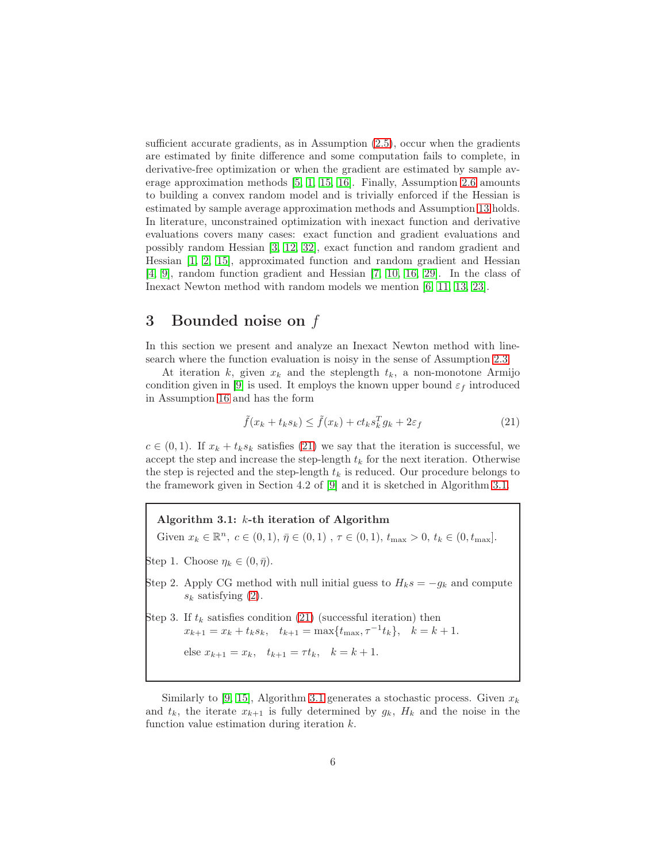sufficient accurate gradients, as in Assumption  $(2.5)$ , occur when the gradients are estimated by finite difference and some computation fails to complete, in derivative-free optimization or when the gradient are estimated by sample average approximation methods [\[5,](#page-18-4) [1,](#page-18-0) [15,](#page-19-12) [16\]](#page-19-5). Finally, Assumption [2.6](#page-4-2) amounts to building a convex random model and is trivially enforced if the Hessian is estimated by sample average approximation methods and Assumption [13](#page-3-0) holds. In literature, unconstrained optimization with inexact function and derivative evaluations covers many cases: exact function and gradient evaluations and possibly random Hessian [\[3,](#page-18-2) [12,](#page-19-3) [32\]](#page-20-3), exact function and random gradient and Hessian [\[1,](#page-18-0) [2,](#page-18-1) [15\]](#page-19-12), approximated function and random gradient and Hessian [\[4,](#page-18-3) [9\]](#page-18-8), random function gradient and Hessian [\[7,](#page-18-6) [10,](#page-18-9) [16,](#page-19-5) [29\]](#page-20-1). In the class of Inexact Newton method with random models we mention [\[6,](#page-18-5) [11,](#page-18-10) [13,](#page-19-4) [23\]](#page-19-8).

## <span id="page-5-0"></span>3 Bounded noise on f

In this section we present and analyze an Inexact Newton method with linesearch where the function evaluation is noisy in the sense of Assumption [2.3.](#page-3-1)

At iteration k, given  $x_k$  and the steplength  $t_k$ , a non-monotone Armijo condition given in [\[9\]](#page-18-8) is used. It employs the known upper bound  $\varepsilon_f$  introduced in Assumption [16](#page-3-3) and has the form

<span id="page-5-1"></span>
$$
\tilde{f}(x_k + t_k s_k) \le \tilde{f}(x_k) + ct_k s_k^T g_k + 2\varepsilon_f \tag{21}
$$

 $c \in (0,1)$ . If  $x_k + t_k s_k$  satisfies [\(21\)](#page-5-1) we say that the iteration is successful, we accept the step and increase the step-length  $t_k$  for the next iteration. Otherwise the step is rejected and the step-length  $t_k$  is reduced. Our procedure belongs to the framework given in Section 4.2 of [\[9\]](#page-18-8) and it is sketched in Algorithm [3.1.](#page-5-2)

<span id="page-5-2"></span>Algorithm 3.1: k-th iteration of Algorithm Given  $x_k \in \mathbb{R}^n$ ,  $c \in (0,1)$ ,  $\bar{\eta} \in (0,1)$ ,  $\tau \in (0,1)$ ,  $t_{\max} > 0$ ,  $t_k \in (0, t_{\max})$ . Step 1. Choose  $\eta_k \in (0, \bar{\eta}).$ Step 2. Apply CG method with null initial guess to  $H_k s = -g_k$  and compute  $s_k$  satisfying [\(2\)](#page-1-1). Step 3. If  $t_k$  satisfies condition [\(21\)](#page-5-1) (successful iteration) then  $x_{k+1} = x_k + t_k s_k$ ,  $t_{k+1} = \max\{t_{\max}, \tau^{-1} t_k\}$ ,  $k = k+1$ . else  $x_{k+1} = x_k$ ,  $t_{k+1} = \tau t_k$ ,  $k = k+1$ .

Similarly to [\[9,](#page-18-8) [15\]](#page-19-12), Algorithm [3.1](#page-5-2) generates a stochastic process. Given  $x_k$ and  $t_k$ , the iterate  $x_{k+1}$  is fully determined by  $g_k$ ,  $H_k$  and the noise in the function value estimation during iteration k.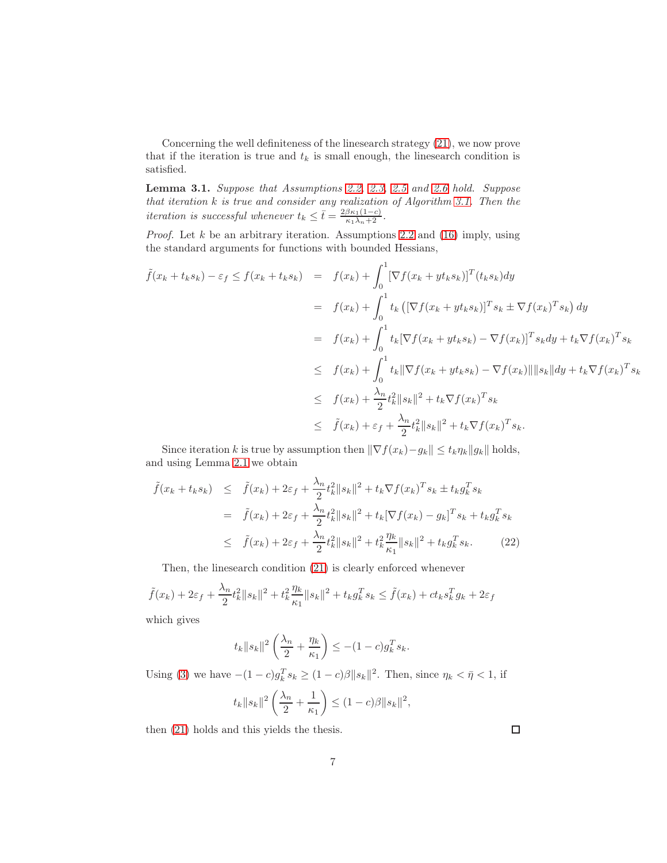Concerning the well definiteness of the linesearch strategy [\(21\)](#page-5-1), we now prove that if the iteration is true and  $t_k$  is small enough, the linesearch condition is satisfied.

<span id="page-6-0"></span>Lemma 3.1. Suppose that Assumptions [2.2,](#page-3-4) [2.3,](#page-3-1) [2.5](#page-4-1) and [2.6](#page-4-2) hold. Suppose that iteration k is true and consider any realization of Algorithm [3.1.](#page-5-2) Then the iteration is successful whenever  $t_k \leq \bar{t} = \frac{2\beta\kappa_1(1-c)}{\kappa_1\lambda_n+2}$ .

*Proof.* Let  $k$  be an arbitrary iteration. Assumptions [2.2](#page-3-4) and [\(16\)](#page-3-3) imply, using the standard arguments for functions with bounded Hessians,

$$
\tilde{f}(x_k + t_k s_k) - \varepsilon_f \le f(x_k + t_k s_k) = f(x_k) + \int_0^1 [\nabla f(x_k + y t_k s_k)]^T (t_k s_k) dy
$$
\n
$$
= f(x_k) + \int_0^1 t_k ([\nabla f(x_k + y t_k s_k)]^T s_k \pm \nabla f(x_k)^T s_k) dy
$$
\n
$$
= f(x_k) + \int_0^1 t_k [\nabla f(x_k + y t_k s_k) - \nabla f(x_k)]^T s_k dy + t_k \nabla f(x_k)^T s_k
$$
\n
$$
\le f(x_k) + \int_0^1 t_k ||\nabla f(x_k + y t_k s_k) - \nabla f(x_k) || ||s_k|| dy + t_k \nabla f(x_k)^T s_k
$$
\n
$$
\le f(x_k) + \frac{\lambda_n}{2} t_k^2 ||s_k||^2 + t_k \nabla f(x_k)^T s_k
$$
\n
$$
\le \tilde{f}(x_k) + \varepsilon_f + \frac{\lambda_n}{2} t_k^2 ||s_k||^2 + t_k \nabla f(x_k)^T s_k.
$$

Since iteration k is true by assumption then  $\|\nabla f(x_k)-g_k\| \leq t_k \eta_k \|g_k\|$  holds, and using Lemma [2.1](#page-2-4) we obtain

$$
\tilde{f}(x_k + t_k s_k) \leq \tilde{f}(x_k) + 2\varepsilon_f + \frac{\lambda_n}{2} t_k^2 \|s_k\|^2 + t_k \nabla f(x_k)^T s_k \pm t_k g_k^T s_k
$$
\n
$$
= \tilde{f}(x_k) + 2\varepsilon_f + \frac{\lambda_n}{2} t_k^2 \|s_k\|^2 + t_k [\nabla f(x_k) - g_k]^T s_k + t_k g_k^T s_k
$$
\n
$$
\leq \tilde{f}(x_k) + 2\varepsilon_f + \frac{\lambda_n}{2} t_k^2 \|s_k\|^2 + t_k^2 \frac{\eta_k}{\kappa_1} \|s_k\|^2 + t_k g_k^T s_k. \tag{22}
$$

Then, the linesearch condition [\(21\)](#page-5-1) is clearly enforced whenever

$$
\tilde{f}(x_k) + 2\varepsilon_f + \frac{\lambda_n}{2} t_k^2 \|s_k\|^2 + t_k^2 \frac{\eta_k}{\kappa_1} \|s_k\|^2 + t_k g_k^T s_k \le \tilde{f}(x_k) + ct_k s_k^T g_k + 2\varepsilon_f
$$

which gives

$$
t_k||s_k||^2\left(\frac{\lambda_n}{2} + \frac{\eta_k}{\kappa_1}\right) \le -(1-c)g_k^T s_k.
$$

Using [\(3\)](#page-2-3) we have  $-(1-c)g_k^T s_k \ge (1-c)\beta \|s_k\|^2$ . Then, since  $\eta_k < \bar{\eta} < 1$ , if

$$
t_k ||s_k||^2 \left(\frac{\lambda_n}{2} + \frac{1}{\kappa_1}\right) \le (1 - c)\beta ||s_k||^2,
$$

then [\(21\)](#page-5-1) holds and this yields the thesis.

 $\Box$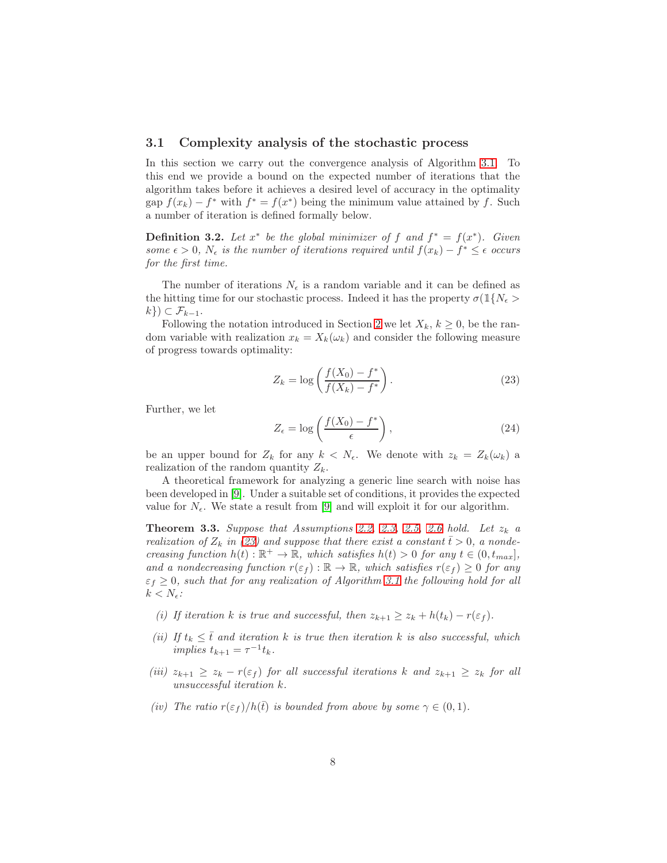### 3.1 Complexity analysis of the stochastic process

In this section we carry out the convergence analysis of Algorithm [3.1.](#page-5-2) To this end we provide a bound on the expected number of iterations that the algorithm takes before it achieves a desired level of accuracy in the optimality  $\text{gap } f(x_k) - f^* \text{ with } f^* = f(x^*) \text{ being the minimum value attained by } f. \text{ Such }$ a number of iteration is defined formally below.

<span id="page-7-2"></span>**Definition 3.2.** Let  $x^*$  be the global minimizer of f and  $f^* = f(x^*)$ . Given some  $\epsilon > 0$ ,  $N_{\epsilon}$  is the number of iterations required until  $f(x_k) - f^* \leq \epsilon$  occurs for the first time.

The number of iterations  $N_{\epsilon}$  is a random variable and it can be defined as the hitting time for our stochastic process. Indeed it has the property  $\sigma(1\{N_{\epsilon}\})$  $k\}) \subset \mathcal{F}_{k-1}.$ 

Following the notation introduced in Section [2](#page-1-0) we let  $X_k$ ,  $k \geq 0$ , be the random variable with realization  $x_k = X_k(\omega_k)$  and consider the following measure of progress towards optimality:

<span id="page-7-0"></span>
$$
Z_k = \log\left(\frac{f(X_0) - f^*}{f(X_k) - f^*}\right).
$$
 (23)

Further, we let

$$
Z_{\epsilon} = \log\left(\frac{f(X_0) - f^*}{\epsilon}\right),\tag{24}
$$

be an upper bound for  $Z_k$  for any  $k \langle N_{\epsilon}$ . We denote with  $z_k = Z_k(\omega_k)$  a realization of the random quantity  $Z_k$ .

A theoretical framework for analyzing a generic line search with noise has been developed in [\[9\]](#page-18-8). Under a suitable set of conditions, it provides the expected value for  $N_{\epsilon}$ . We state a result from [\[9\]](#page-18-8) and will exploit it for our algorithm.

<span id="page-7-1"></span>**Theorem 3.3.** Suppose that Assumptions [2.2,](#page-3-4) [2.3,](#page-3-1) [2.5,](#page-4-1) [2.6](#page-4-2) hold. Let  $z_k$  a realization of  $Z_k$  in [\(23\)](#page-7-0) and suppose that there exist a constant  $\bar{t} > 0$ , a nondecreasing function  $h(t): \mathbb{R}^+ \to \mathbb{R}$ , which satisfies  $h(t) > 0$  for any  $t \in (0, t_{max}]$ , and a nondecreasing function  $r(\varepsilon_f): \mathbb{R} \to \mathbb{R}$ , which satisfies  $r(\varepsilon_f) \geq 0$  for any  $\varepsilon_f \geq 0$ , such that for any realization of Algorithm [3.1](#page-5-2) the following hold for all  $k < N_{\epsilon}$ :

- (i) If iteration k is true and successful, then  $z_{k+1} \ge z_k + h(t_k) r(\varepsilon_f)$ .
- (ii) If  $t_k \leq \overline{t}$  and iteration k is true then iteration k is also successful, which implies  $t_{k+1} = \tau^{-1} t_k$ .
- (iii)  $z_{k+1} \ge z_k r(\varepsilon_f)$  for all successful iterations k and  $z_{k+1} \ge z_k$  for all unsuccessful iteration k.
- (iv) The ratio  $r(\varepsilon_f)/h(\bar{t})$  is bounded from above by some  $\gamma \in (0,1)$ .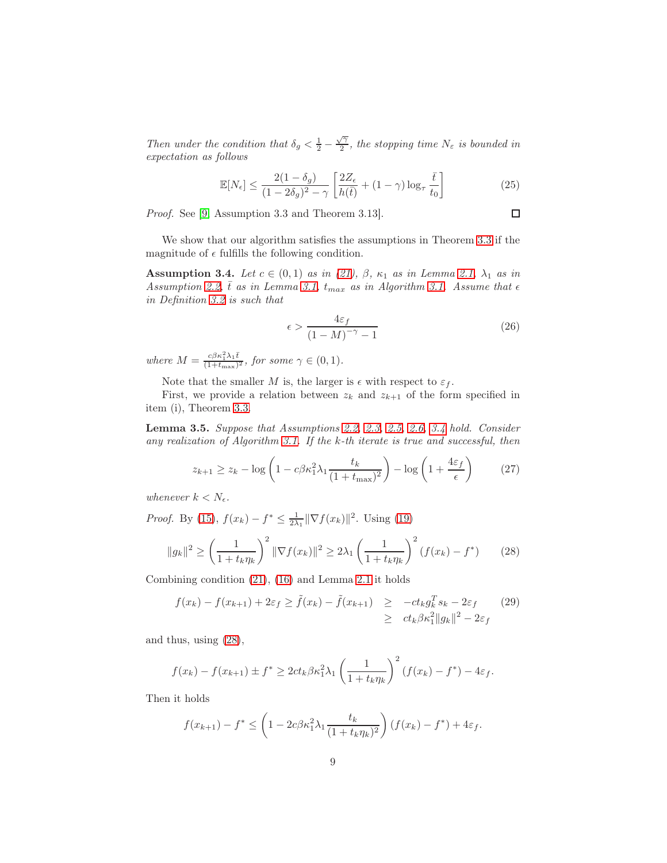Then under the condition that  $\delta_g < \frac{1}{2} - \frac{\sqrt{2}}{2}$  $\frac{\gamma_1}{2}$ , the stopping time  $N_{\varepsilon}$  is bounded in expectation as follows

$$
\mathbb{E}[N_{\epsilon}] \le \frac{2(1-\delta_g)}{(1-2\delta_g)^2 - \gamma} \left[ \frac{2Z_{\epsilon}}{h(\bar{t})} + (1-\gamma)\log_{\tau} \frac{\bar{t}}{t_0} \right]
$$
(25)

Proof. See [\[9,](#page-18-8) Assumption 3.3 and Theorem 3.13].

We show that our algorithm satisfies the assumptions in Theorem [3.3](#page-7-1) if the magnitude of  $\epsilon$  fulfills the following condition.

<span id="page-8-0"></span>**Assumption 3.4.** Let  $c \in (0,1)$  as in [\(21\)](#page-5-1),  $\beta$ ,  $\kappa_1$  as in Lemma [2.1,](#page-2-4)  $\lambda_1$  as in Assumption [2.2,](#page-3-4)  $\bar{t}$  as in Lemma [3.1,](#page-6-0)  $t_{max}$  as in Algorithm [3.1.](#page-5-2) Assume that  $\epsilon$ in Definition [3.2](#page-7-2) is such that

$$
\epsilon > \frac{4\varepsilon_f}{\left(1 - M\right)^{-\gamma} - 1} \tag{26}
$$

 $\Box$ 

where  $M = \frac{c\beta\kappa_1^2\lambda_1\bar{t}}{(1+t_{\text{max}})^2}$  $\frac{c\rho\kappa_1\lambda_1t}{(1+t_{\max})^2}$ , for some  $\gamma\in(0,1)$ .

Note that the smaller M is, the larger is  $\epsilon$  with respect to  $\varepsilon_f$ .

First, we provide a relation between  $z_k$  and  $z_{k+1}$  of the form specified in item (i), Theorem [3.3.](#page-7-1)

<span id="page-8-2"></span>Lemma 3.5. Suppose that Assumptions [2.2,](#page-3-4) [2.3,](#page-3-1) [2.5,](#page-4-1) [2.6,](#page-4-2) [3.4](#page-8-0) hold. Consider any realization of Algorithm [3.1.](#page-5-2) If the k-th iterate is true and successful, then

$$
z_{k+1} \ge z_k - \log\left(1 - c\beta \kappa_1^2 \lambda_1 \frac{t_k}{(1 + t_{\text{max}})^2}\right) - \log\left(1 + \frac{4\varepsilon_f}{\epsilon}\right) \tag{27}
$$

whenever  $k < N_{\epsilon}$ .

*Proof.* By [\(15\)](#page-3-5),  $f(x_k) - f^* \le \frac{1}{2\lambda_1} \|\nabla f(x_k)\|^2$ . Using [\(19\)](#page-4-3)

<span id="page-8-1"></span>
$$
||g_k||^2 \ge \left(\frac{1}{1+t_k\eta_k}\right)^2 ||\nabla f(x_k)||^2 \ge 2\lambda_1 \left(\frac{1}{1+t_k\eta_k}\right)^2 (f(x_k) - f^*) \tag{28}
$$

Combining condition [\(21\)](#page-5-1), [\(16\)](#page-3-3) and Lemma [2.1](#page-2-4) it holds

$$
f(x_k) - f(x_{k+1}) + 2\varepsilon_f \ge \tilde{f}(x_k) - \tilde{f}(x_{k+1}) \ge -ct_k g_k^T s_k - 2\varepsilon_f \tag{29}
$$
  

$$
\ge ct_k \beta \kappa_1^2 ||g_k||^2 - 2\varepsilon_f
$$

and thus, using [\(28\)](#page-8-1),

$$
f(x_k) - f(x_{k+1}) \pm f^* \geq 2ct_k \beta \kappa_1^2 \lambda_1 \left( \frac{1}{1 + t_k \eta_k} \right)^2 (f(x_k) - f^*) - 4\varepsilon_f.
$$

Then it holds

$$
f(x_{k+1}) - f^* \le \left(1 - 2c\beta \kappa_1^2 \lambda_1 \frac{t_k}{(1 + t_k \eta_k)^2}\right) (f(x_k) - f^*) + 4\varepsilon_f.
$$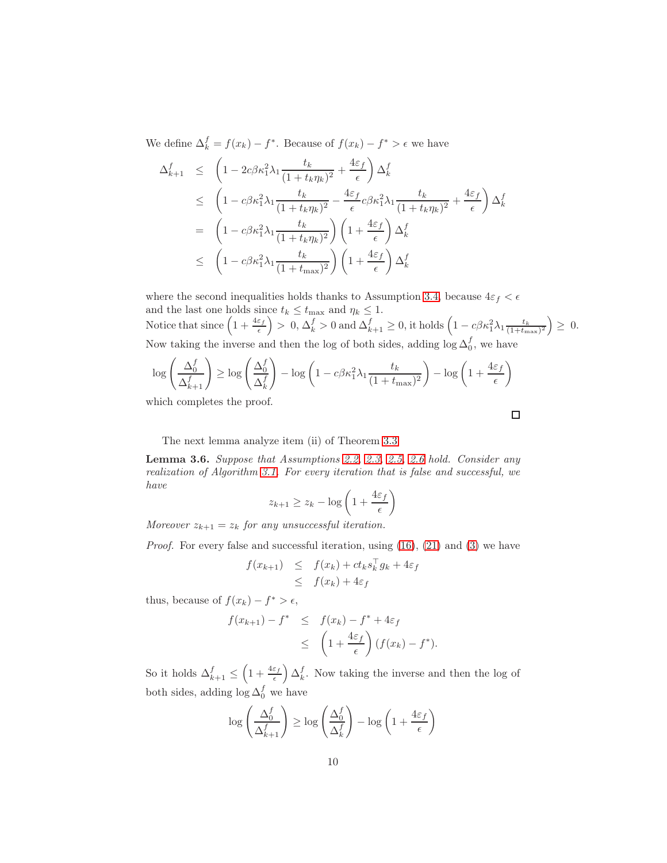We define  $\Delta_k^f = f(x_k) - f^*$ . Because of  $f(x_k) - f^* > \epsilon$  we have

$$
\Delta_{k+1}^f \leq \left(1 - 2c\beta \kappa_1^2 \lambda_1 \frac{t_k}{(1 + t_k \eta_k)^2} + \frac{4\varepsilon_f}{\epsilon}\right) \Delta_k^f
$$
\n
$$
\leq \left(1 - c\beta \kappa_1^2 \lambda_1 \frac{t_k}{(1 + t_k \eta_k)^2} - \frac{4\varepsilon_f}{\epsilon} c\beta \kappa_1^2 \lambda_1 \frac{t_k}{(1 + t_k \eta_k)^2} + \frac{4\varepsilon_f}{\epsilon}\right) \Delta_k^f
$$
\n
$$
= \left(1 - c\beta \kappa_1^2 \lambda_1 \frac{t_k}{(1 + t_k \eta_k)^2}\right) \left(1 + \frac{4\varepsilon_f}{\epsilon}\right) \Delta_k^f
$$
\n
$$
\leq \left(1 - c\beta \kappa_1^2 \lambda_1 \frac{t_k}{(1 + t_{\text{max}})^2}\right) \left(1 + \frac{4\varepsilon_f}{\epsilon}\right) \Delta_k^f
$$

where the second inequalities holds thanks to Assumption [3.4,](#page-8-0) because  $4\varepsilon_f < \epsilon$ and the last one holds since  $t_k \leq t_{\text{max}}$  and  $\eta_k \leq 1$ . Notice that since  $\left(1+\frac{4\varepsilon_f}{\epsilon}\right) > 0, \Delta_k^f > 0$  and  $\Delta_{k+1}^f \geq 0$ , it holds  $\left(1 - c\beta\kappa_1^2\lambda_1\frac{t_k}{(1+t_{\max})^2}\right) \geq 0$ . Now taking the inverse and then the log of both sides, adding  $\log \Delta_0^f$ , we have

$$
\log\left(\frac{\Delta_0^f}{\Delta_{k+1}^f}\right) \ge \log\left(\frac{\Delta_0^f}{\Delta_k^f}\right) - \log\left(1 - c\beta\kappa_1^2\lambda_1\frac{t_k}{(1+t_{\max})^2}\right) - \log\left(1 + \frac{4\varepsilon_f}{\epsilon}\right)
$$

which completes the proof.

 $\Box$ 

The next lemma analyze item (ii) of Theorem [3.3](#page-7-1)

<span id="page-9-0"></span>Lemma 3.6. Suppose that Assumptions [2.2,](#page-3-4) [2.3,](#page-3-1) [2.5,](#page-4-1) [2.6](#page-4-2) hold. Consider any realization of Algorithm [3.1.](#page-5-2) For every iteration that is false and successful, we have

$$
z_{k+1} \ge z_k - \log\left(1 + \frac{4\varepsilon_f}{\epsilon}\right)
$$

Moreover  $z_{k+1} = z_k$  for any unsuccessful iteration.

*Proof.* For every false and successful iteration, using  $(16)$ ,  $(21)$  and  $(3)$  we have

$$
f(x_{k+1}) \leq f(x_k) + ct_k s_k^{\top} g_k + 4\varepsilon_f
$$
  

$$
\leq f(x_k) + 4\varepsilon_f
$$

thus, because of  $f(x_k) - f^* > \epsilon$ ,

$$
f(x_{k+1}) - f^* \leq f(x_k) - f^* + 4\varepsilon_f
$$
  
 
$$
\leq \left(1 + \frac{4\varepsilon_f}{\epsilon}\right) (f(x_k) - f^*).
$$

So it holds  $\Delta_{k+1}^f \leq \left(1 + \frac{4\varepsilon_f}{\epsilon}\right) \Delta_k^f$ . Now taking the inverse and then the log of both sides, adding  $\log \Delta_0^f$  we have

$$
\log\left(\frac{\Delta_0^f}{\Delta_{k+1}^f}\right) \ge \log\left(\frac{\Delta_0^f}{\Delta_k^f}\right) - \log\left(1 + \frac{4\varepsilon_f}{\epsilon}\right)
$$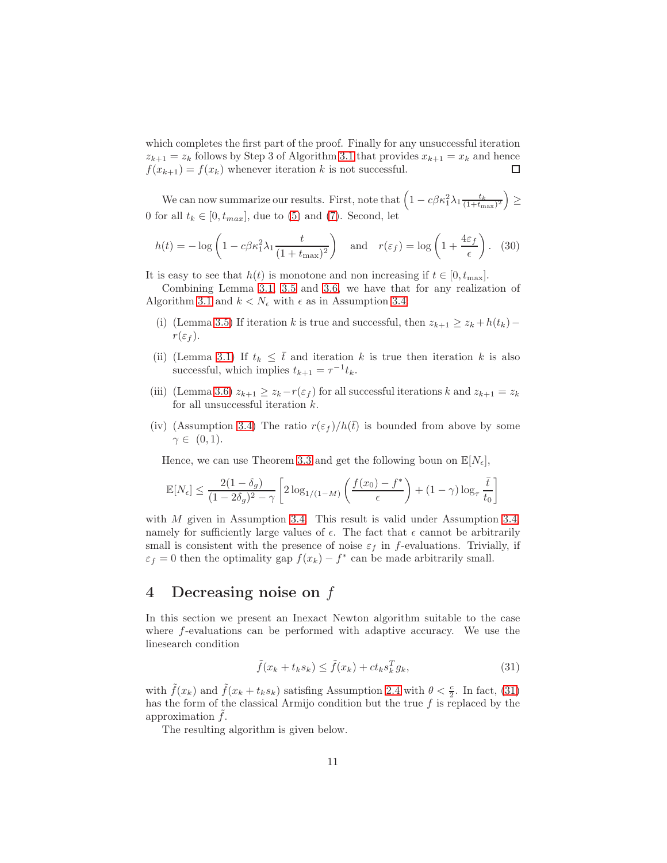which completes the first part of the proof. Finally for any unsuccessful iteration  $z_{k+1} = z_k$  follows by Step 3 of Algorithm [3.1](#page-5-2) that provides  $x_{k+1} = x_k$  and hence  $f(x_{k+1}) = f(x_k)$  whenever iteration k is not successful.

We can now summarize our results. First, note that  $\left(1 - c\beta \kappa_1^2 \lambda_1 \frac{t_k}{(1+t_{\max})^2}\right) \geq$ 0 for all  $t_k \in [0, t_{max}]$ , due to [\(5\)](#page-2-2) and [\(7\)](#page-2-2). Second, let

$$
h(t) = -\log\left(1 - c\beta\kappa_1^2 \lambda_1 \frac{t}{(1 + t_{\text{max}})^2}\right) \quad \text{and} \quad r(\varepsilon_f) = \log\left(1 + \frac{4\varepsilon_f}{\epsilon}\right). \tag{30}
$$

It is easy to see that  $h(t)$  is monotone and non increasing if  $t \in [0, t_{\text{max}}]$ .

Combining Lemma [3.1,](#page-6-0) [3.5](#page-8-2) and [3.6,](#page-9-0) we have that for any realization of Algorithm [3.1](#page-5-2) and  $k < N_{\epsilon}$  with  $\epsilon$  as in Assumption [3.4:](#page-8-0)

- (i) (Lemma [3.5\)](#page-8-2) If iteration k is true and successful, then  $z_{k+1} \geq z_k + h(t_k)$   $r(\varepsilon_f)$ .
- (ii) (Lemma [3.1\)](#page-6-0) If  $t_k \leq \overline{t}$  and iteration k is true then iteration k is also successful, which implies  $t_{k+1} = \tau^{-1} t_k$ .
- (iii) (Lemma [3.6\)](#page-9-0)  $z_{k+1} \ge z_k r(\varepsilon_f)$  for all successful iterations k and  $z_{k+1} = z_k$ for all unsuccessful iteration  $k$ .
- (iv) (Assumption [3.4\)](#page-8-0) The ratio  $r(\epsilon_f)/h(\bar{t})$  is bounded from above by some  $\gamma \in (0,1)$ .

Hence, we can use Theorem [3.3](#page-7-1) and get the following boun on  $\mathbb{E}[N_{\epsilon}],$ 

$$
\mathbb{E}[N_{\epsilon}] \le \frac{2(1-\delta_g)}{(1-2\delta_g)^2 - \gamma} \left[ 2\log_{1/(1-M)}\left(\frac{f(x_0) - f^*}{\epsilon}\right) + (1-\gamma)\log_{\tau}\frac{\bar{t}}{t_0} \right]
$$

with M given in Assumption [3.4.](#page-8-0) This result is valid under Assumption [3.4,](#page-8-0) namely for sufficiently large values of  $\epsilon$ . The fact that  $\epsilon$  cannot be arbitrarily small is consistent with the presence of noise  $\varepsilon_f$  in f-evaluations. Trivially, if  $\varepsilon_f = 0$  then the optimality gap  $f(x_k) - f^*$  can be made arbitrarily small.

# <span id="page-10-0"></span>4 Decreasing noise on f

In this section we present an Inexact Newton algorithm suitable to the case where f-evaluations can be performed with adaptive accuracy. We use the linesearch condition

<span id="page-10-1"></span>
$$
\tilde{f}(x_k + t_k s_k) \le \tilde{f}(x_k) + ct_k s_k^T g_k,
$$
\n(31)

with  $\tilde{f}(x_k)$  and  $\tilde{f}(x_k + t_k s_k)$  satisfing Assumption [2.4](#page-3-2) with  $\theta < \frac{c}{2}$ . In fact, [\(31\)](#page-10-1) has the form of the classical Armijo condition but the true  $f$  is replaced by the approximation  $f$ .

<span id="page-10-2"></span>The resulting algorithm is given below.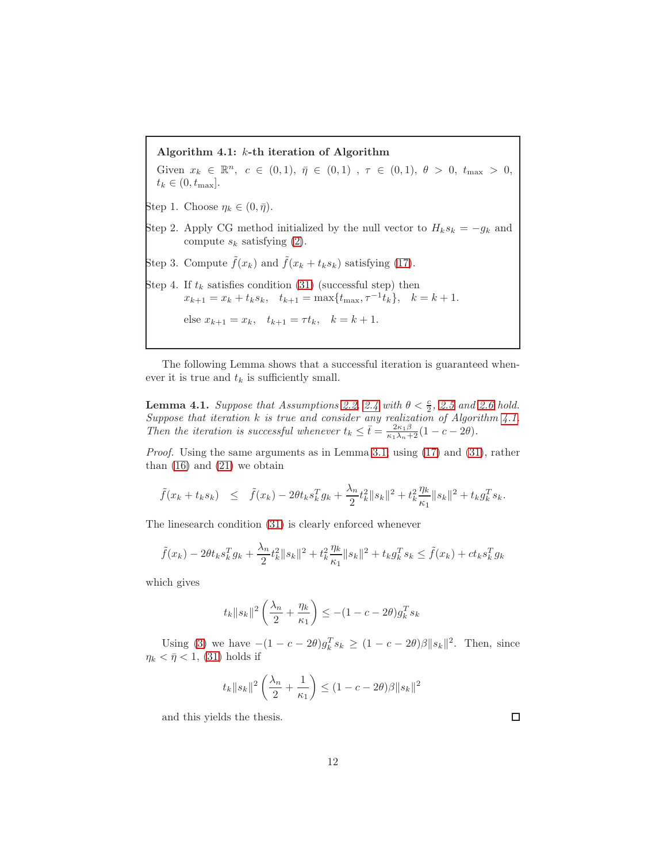Algorithm 4.1: k-th iteration of Algorithm Given  $x_k \in \mathbb{R}^n$ ,  $c \in (0,1)$ ,  $\bar{\eta} \in (0,1)$ ,  $\tau \in (0,1)$ ,  $\theta > 0$ ,  $t_{\max} > 0$ ,  $t_k \in (0, t_{\text{max}}].$ Step 1. Choose  $\eta_k \in (0, \bar{\eta}).$ Step 2. Apply CG method initialized by the null vector to  $H_k s_k = -g_k$  and compute  $s_k$  satisfying [\(2\)](#page-1-1). Step 3. Compute  $\tilde{f}(x_k)$  and  $\tilde{f}(x_k + t_k s_k)$  satisfying [\(17\)](#page-3-6). Step 4. If  $t_k$  satisfies condition [\(31\)](#page-10-1) (successful step) then  $x_{k+1} = x_k + t_k s_k$ ,  $t_{k+1} = \max\{t_{\max}, \tau^{-1}t_k\}$ ,  $k = k+1$ . else  $x_{k+1} = x_k$ ,  $t_{k+1} = \tau t_k$ ,  $k = k + 1$ .

The following Lemma shows that a successful iteration is guaranteed whenever it is true and  $t_k$  is sufficiently small.

<span id="page-11-0"></span>**Lemma 4.1.** Suppose that Assumptions [2.2,](#page-3-4) [2.4](#page-3-2) with  $\theta < \frac{c}{2}$ , [2.5](#page-4-1) and [2.6](#page-4-2) hold. Suppose that iteration  $k$  is true and consider any realization of Algorithm [4.1.](#page-10-2) Then the iteration is successful whenever  $t_k \leq \bar{t} = \frac{2\kappa_1 \beta}{\kappa_1 \lambda_n + 2} (1 - c - 2\theta).$ 

Proof. Using the same arguments as in Lemma [3.1,](#page-6-0) using [\(17\)](#page-3-6) and [\(31\)](#page-10-1), rather than  $(16)$  and  $(21)$  we obtain

$$
\tilde{f}(x_k + t_k s_k) \leq \tilde{f}(x_k) - 2\theta t_k s_k^T g_k + \frac{\lambda_n}{2} t_k^2 \|s_k\|^2 + t_k^2 \frac{\eta_k}{\kappa_1} \|s_k\|^2 + t_k g_k^T s_k.
$$

The linesearch condition [\(31\)](#page-10-1) is clearly enforced whenever

$$
\tilde{f}(x_k) - 2\theta t_k s_k^T g_k + \frac{\lambda_n}{2} t_k^2 \|s_k\|^2 + t_k^2 \frac{\eta_k}{\kappa_1} \|s_k\|^2 + t_k g_k^T s_k \le \tilde{f}(x_k) + ct_k s_k^T g_k
$$

which gives

$$
t_k ||s_k||^2 \left(\frac{\lambda_n}{2} + \frac{\eta_k}{\kappa_1}\right) \le -(1 - c - 2\theta) g_k^T s_k
$$

Using [\(3\)](#page-2-3) we have  $-(1 - c - 2\theta)g_k^T s_k \ge (1 - c - 2\theta)\beta ||s_k||^2$ . Then, since  $\eta_k < \bar{\eta} < 1$ , [\(31\)](#page-10-1) holds if

$$
t_k ||s_k||^2 \left(\frac{\lambda_n}{2} + \frac{1}{\kappa_1}\right) \le (1 - c - 2\theta)\beta ||s_k||^2
$$

and this yields the thesis.

 $\Box$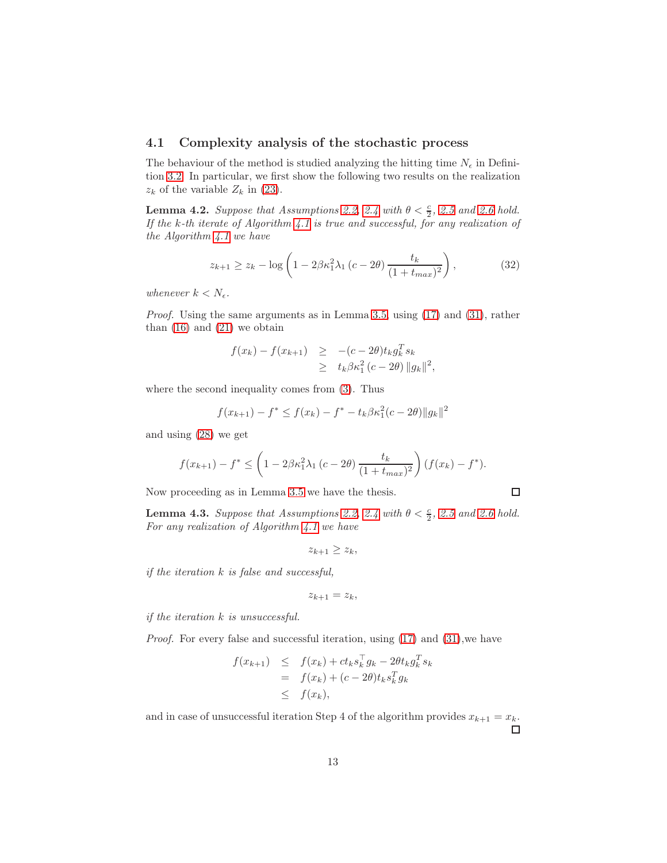### 4.1 Complexity analysis of the stochastic process

The behaviour of the method is studied analyzing the hitting time  $N_{\epsilon}$  in Definition [3.2.](#page-7-2) In particular, we first show the following two results on the realization  $z_k$  of the variable  $Z_k$  in [\(23\)](#page-7-0).

<span id="page-12-0"></span>**Lemma 4.2.** Suppose that Assumptions [2.2,](#page-3-4) [2.4](#page-3-2) with  $\theta < \frac{c}{2}$ , [2.5](#page-4-1) and [2.6](#page-4-2) hold. If the k-th iterate of Algorithm [4.1](#page-10-2) is true and successful, for any realization of the Algorithm  $4.1$  we have

$$
z_{k+1} \ge z_k - \log \left( 1 - 2\beta \kappa_1^2 \lambda_1 \left( c - 2\theta \right) \frac{t_k}{(1 + t_{max})^2} \right),\tag{32}
$$

whenever  $k < N_{\epsilon}$ .

Proof. Using the same arguments as in Lemma [3.5,](#page-8-2) using [\(17\)](#page-3-6) and [\(31\)](#page-10-1), rather than  $(16)$  and  $(21)$  we obtain

$$
f(x_k) - f(x_{k+1}) \ge -(c - 2\theta) t_k g_k^T s_k
$$
  
 
$$
\ge t_k \beta \kappa_1^2 (c - 2\theta) \|g_k\|^2,
$$

where the second inequality comes from [\(3\)](#page-2-3). Thus

$$
f(x_{k+1}) - f^* \le f(x_k) - f^* - t_k \beta \kappa_1^2 (c - 2\theta) \|g_k\|^2
$$

and using [\(28\)](#page-8-1) we get

$$
f(x_{k+1}) - f^* \le \left(1 - 2\beta \kappa_1^2 \lambda_1 \left(c - 2\theta\right) \frac{t_k}{\left(1 + t_{max}\right)^2}\right) (f(x_k) - f^*).
$$

 $\Box$ 

Now proceeding as in Lemma [3.5](#page-8-2) we have the thesis.

<span id="page-12-1"></span>**Lemma 4.3.** Suppose that Assumptions [2.2,](#page-3-4) [2.4](#page-3-2) with  $\theta < \frac{c}{2}$ , [2.5](#page-4-1) and [2.6](#page-4-2) hold. For any realization of Algorithm [4.1](#page-10-2) we have

$$
z_{k+1} \geq z_k,
$$

if the iteration k is false and successful,

$$
z_{k+1} = z_k,
$$

if the iteration k is unsuccessful.

Proof. For every false and successful iteration, using  $(17)$  and  $(31)$ , we have

$$
f(x_{k+1}) \leq f(x_k) + ct_k s_k^{\top} g_k - 2\theta t_k g_k^T s_k
$$
  
= 
$$
f(x_k) + (c - 2\theta) t_k s_k^T g_k
$$
  

$$
\leq f(x_k),
$$

and in case of unsuccessful iteration Step 4 of the algorithm provides  $x_{k+1} = x_k$ .  $\Box$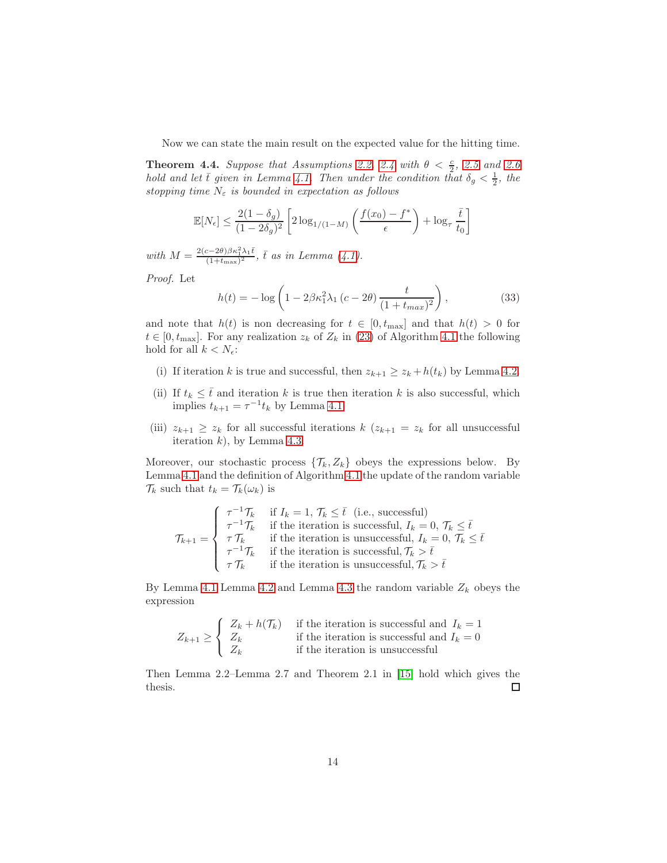Now we can state the main result on the expected value for the hitting time.

**Theorem 4.4.** Suppose that Assumptions [2.2,](#page-3-4) [2.4](#page-3-2) with  $\theta < \frac{c}{2}$ , [2.5](#page-4-1) and [2.6](#page-4-2) hold and let  $\bar{t}$  given in Lemma [4.1.](#page-11-0) Then under the condition that  $\delta_g < \frac{1}{2}$ , the stopping time  $N_{\varepsilon}$  is bounded in expectation as follows

$$
\mathbb{E}[N_{\epsilon}] \le \frac{2(1-\delta_g)}{(1-2\delta_g)^2} \left[ 2\log_{1/(1-M)}\left(\frac{f(x_0)-f^*}{\epsilon}\right) + \log_{\tau}\frac{\bar{t}}{t_0} \right]
$$

with  $M = \frac{2(c-2\theta)\beta\kappa_1^2\lambda_1\bar{t}}{(1+t-2)^2}$  $\frac{(c-2\theta)\beta\kappa_1^2\lambda_1 t}{(1+t_{\max})^2}$ , t as in Lemma [\(4.1\)](#page-11-0).

Proof. Let

$$
h(t) = -\log\left(1 - 2\beta\kappa_1^2 \lambda_1 \left(c - 2\theta\right) \frac{t}{\left(1 + t_{max}\right)^2}\right),\tag{33}
$$

and note that  $h(t)$  is non decreasing for  $t \in [0, t_{\text{max}}]$  and that  $h(t) > 0$  for  $t \in [0, t_{\text{max}}]$ . For any realization  $z_k$  of  $Z_k$  in [\(23\)](#page-7-0) of Algorithm [4.1](#page-10-2) the following hold for all  $k < N_{\epsilon}$ :

- (i) If iteration k is true and successful, then  $z_{k+1} \ge z_k + h(t_k)$  by Lemma [4.2.](#page-12-0)
- (ii) If  $t_k \leq \overline{t}$  and iteration k is true then iteration k is also successful, which implies  $t_{k+1} = \tau^{-1} t_k$  by Lemma [4.1.](#page-11-0)
- (iii)  $z_{k+1} \geq z_k$  for all successful iterations  $k$  ( $z_{k+1} = z_k$  for all unsuccessful iteration  $k$ ), by Lemma [4.3.](#page-12-1)

Moreover, our stochastic process  $\{\mathcal{T}_k, Z_k\}$  obeys the expressions below. By Lemma [4.1](#page-11-0) and the definition of Algorithm [4.1](#page-10-2) the update of the random variable  $\mathcal{T}_k$  such that  $t_k = \mathcal{T}_k(\omega_k)$  is

$$
\mathcal{T}_{k+1} = \begin{cases}\n\tau^{-1}\mathcal{T}_k & \text{if } I_k = 1, \mathcal{T}_k \leq \bar{t} \text{ (i.e., successful)} \\
\tau^{-1}\mathcal{T}_k & \text{if the iteration is successful, } I_k = 0, \mathcal{T}_k \leq \bar{t} \\
\tau \mathcal{T}_k & \text{if the iteration is successful, } \mathcal{T}_k > \bar{t} \\
\tau^{-1}\mathcal{T}_k & \text{if the iteration is unsuccessful, } \mathcal{T}_k > \bar{t} \\
\tau \mathcal{T}_k & \text{if the iteration is unsuccessful, } \mathcal{T}_k > \bar{t}\n\end{cases}
$$

By Lemma [4.1](#page-11-0) Lemma [4.2](#page-12-0) and Lemma [4.3](#page-12-1) the random variable  $Z_k$  obeys the expression

$$
Z_{k+1} \geq \begin{cases} Z_k + h(\mathcal{T}_k) & \text{if the iteration is successful and } I_k = 1\\ Z_k & \text{if the iteration is successful and } I_k = 0\\ Z_k & \text{if the iteration is unsuccessful} \end{cases}
$$

Then Lemma 2.2–Lemma 2.7 and Theorem 2.1 in [\[15\]](#page-19-12) hold which gives the thesis.  $\Box$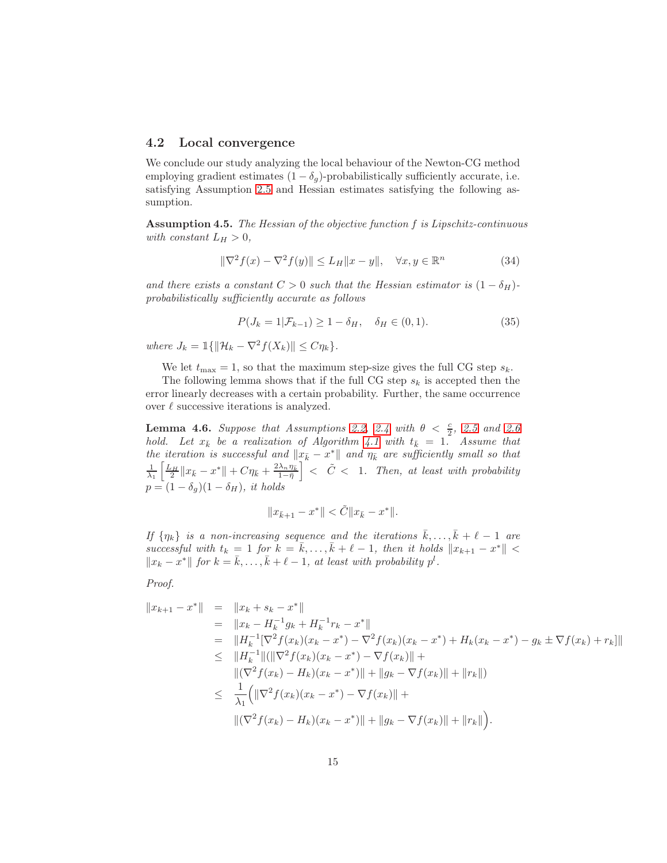### 4.2 Local convergence

We conclude our study analyzing the local behaviour of the Newton-CG method employing gradient estimates  $(1 - \delta_q)$ -probabilistically sufficiently accurate, i.e. satisfying Assumption [2.5](#page-4-1) and Hessian estimates satisfying the following assumption.

<span id="page-14-1"></span>**Assumption 4.5.** The Hessian of the objective function  $f$  is Lipschitz-continuous with constant  $L_H > 0$ ,

<span id="page-14-0"></span>
$$
\|\nabla^2 f(x) - \nabla^2 f(y)\| \le L_H \|x - y\|, \quad \forall x, y \in \mathbb{R}^n \tag{34}
$$

and there exists a constant  $C > 0$  such that the Hessian estimator is  $(1 - \delta_H)$ probabilistically sufficiently accurate as follows

$$
P(J_k = 1 | \mathcal{F}_{k-1}) \ge 1 - \delta_H, \quad \delta_H \in (0, 1).
$$
 (35)

where  $J_k = \mathbb{1}\{\|\mathcal{H}_k - \nabla^2 f(X_k)\| \leq C\eta_k\}.$ 

We let  $t_{\text{max}} = 1$ , so that the maximum step-size gives the full CG step  $s_k$ .

The following lemma shows that if the full CG step  $s_k$  is accepted then the error linearly decreases with a certain probability. Further, the same occurrence over  $\ell$  successive iterations is analyzed.

**Lemma 4.6.** Suppose that Assumptions [2.2,](#page-3-4) [2.4](#page-3-2) with  $\theta < \frac{c}{2}$ , [2.5](#page-4-1) and [2.6](#page-4-2) **EXECUTE:** Let  $x_k$  be a realization of Algorithm [4.1](#page-10-2) with  $t_k = 1$ . Assume that the iteration is successful and  $\|\bar{x}_{\bar{k}} - x^*\|$  and  $\eta_{\bar{k}}$  are sufficiently small so that  $\frac{1}{\lambda_1}\left[\frac{L_H}{2}||x_{\bar{k}} - x^*|| + C\eta_{\bar{k}} + \frac{2\lambda_n\eta_{\bar{k}}}{1-\bar{\eta}}\right]$  $1-\bar{\eta}$  $\vert \vert < \tilde{C} < 1$ . Then, at least with probability  $p = (1 - \delta_g)(1 - \delta_H)$ , it holds

$$
\|x_{\bar k+1} - x^*\| < \tilde C \|x_{\bar k} - x^*\|.
$$

If  $\{\eta_k\}$  is a non-increasing sequence and the iterations  $\bar{k}, \ldots, \bar{k} + \ell - 1$  are successful with  $t_k = 1$  for  $k = \bar{k}, \ldots, \bar{k} + \ell - 1$ , then it holds  $||x_{k+1} - x^*|| <$  $||x_k - x^*||$  for  $k = \overline{k}, \ldots, \overline{k} + \ell - 1$ , at least with probability  $p^l$ .

Proof.

$$
||x_{k+1} - x^*|| = ||x_k + s_k - x^*||
$$
  
\n
$$
= ||x_k - H_k^{-1}g_k + H_k^{-1}r_k - x^*||
$$
  
\n
$$
= ||H_k^{-1}[\nabla^2 f(x_k)(x_k - x^*) - \nabla^2 f(x_k)(x_k - x^*) + H_k(x_k - x^*) - g_k \pm \nabla f(x_k) + r_k]||
$$
  
\n
$$
\leq ||H_k^{-1}||(||\nabla^2 f(x_k)(x_k - x^*) - \nabla f(x_k)|| +
$$
  
\n
$$
||(\nabla^2 f(x_k) - H_k)(x_k - x^*)|| + ||g_k - \nabla f(x_k)|| + ||r_k||)
$$
  
\n
$$
\leq \frac{1}{\lambda_1} (||\nabla^2 f(x_k)(x_k - x^*) - \nabla f(x_k)|| +
$$
  
\n
$$
||(\nabla^2 f(x_k) - H_k)(x_k - x^*)|| + ||g_k - \nabla f(x_k)|| + ||r_k||).
$$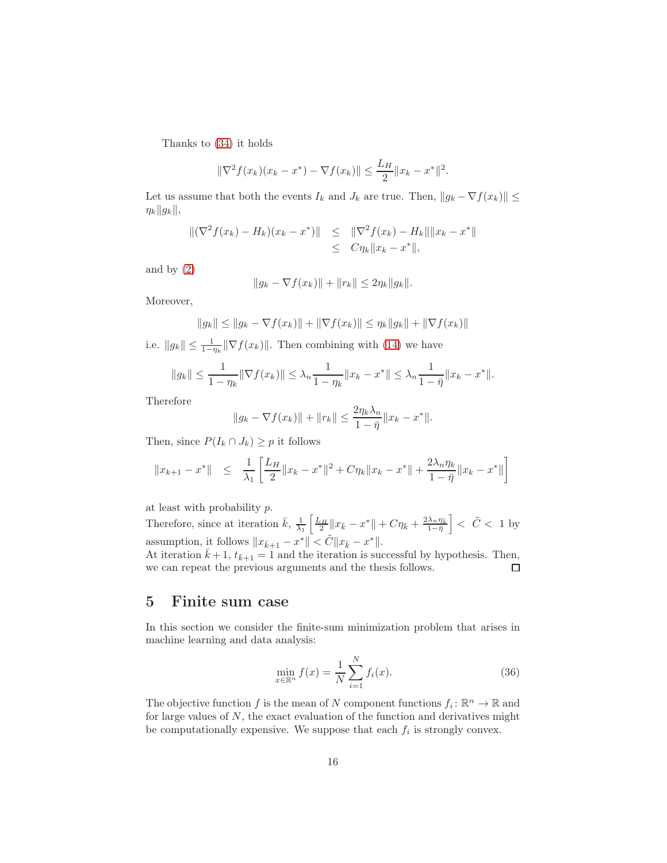Thanks to [\(34\)](#page-14-0) it holds

$$
\|\nabla^2 f(x_k)(x_k - x^*) - \nabla f(x_k)\| \le \frac{L_H}{2} \|x_k - x^*\|^2.
$$

Let us assume that both the events  $I_k$  and  $J_k$  are true. Then,  $||g_k - \nabla f(x_k)|| \le$  $\eta_k||g_k||$ 

$$
\begin{aligned} \|(\nabla^2 f(x_k) - H_k)(x_k - x^*)\| &\leq \|(\nabla^2 f(x_k) - H_k\| \|x_k - x^*\|) \\ &\leq C \eta_k \|x_k - x^*\|, \end{aligned}
$$

and by  $(2)$ 

$$
||g_k - \nabla f(x_k)|| + ||r_k|| \le 2\eta_k ||g_k||.
$$

Moreover,

$$
||g_k|| \le ||g_k - \nabla f(x_k)|| + ||\nabla f(x_k)|| \le \eta_k ||g_k|| + ||\nabla f(x_k)||
$$

i.e.  $||g_k|| \leq \frac{1}{1-\eta_k} ||\nabla f(x_k)||$ . Then combining with [\(14\)](#page-3-7) we have

$$
||g_k|| \leq \frac{1}{1-\eta_k} ||\nabla f(x_k)|| \leq \lambda_n \frac{1}{1-\eta_k} ||x_k - x^*|| \leq \lambda_n \frac{1}{1-\bar{\eta}} ||x_k - x^*||.
$$

Therefore

$$
||g_k - \nabla f(x_k)|| + ||r_k|| \le \frac{2\eta_k \lambda_n}{1 - \bar{\eta}} ||x_k - x^*||.
$$

Then, since  $P(I_k \cap J_k) \geq p$  it follows

$$
||x_{k+1} - x^*|| \le \frac{1}{\lambda_1} \left[ \frac{L_H}{2} ||x_k - x^*||^2 + C \eta_k ||x_k - x^*|| + \frac{2\lambda_n \eta_k}{1 - \bar{\eta}} ||x_k - x^*|| \right]
$$

at least with probability p.

Therefore, since at iteration  $\bar{k}$ ,  $\frac{1}{\lambda_1} \left[ \frac{L_H}{2} ||x_{\bar{k}} - x^*|| + C \eta_{\bar{k}} + \frac{2\lambda_n \eta_{\bar{k}}}{1 - \bar{\eta}} \right]$  $1-\bar{\eta}$  $\vert < \tilde{C} < 1$  by assumption, it follows  $||x_{\bar{k}+1} - x^*|| < \tilde{C} ||x_{\bar{k}} - x^*||$ .

At iteration  $\bar{k} + 1$ ,  $t_{\bar{k}+1} = 1$  and the iteration is successful by hypothesis. Then, we can repeat the previous arguments and the thesis follows.

## <span id="page-15-0"></span>5 Finite sum case

In this section we consider the finite-sum minimization problem that arises in machine learning and data analysis:

$$
\min_{x \in \mathbb{R}^n} f(x) = \frac{1}{N} \sum_{i=1}^N f_i(x).
$$
\n(36)

The objective function f is the mean of N component functions  $f_i: \mathbb{R}^n \to \mathbb{R}$  and for large values of  $N$ , the exact evaluation of the function and derivatives might be computationally expensive. We suppose that each  $f_i$  is strongly convex.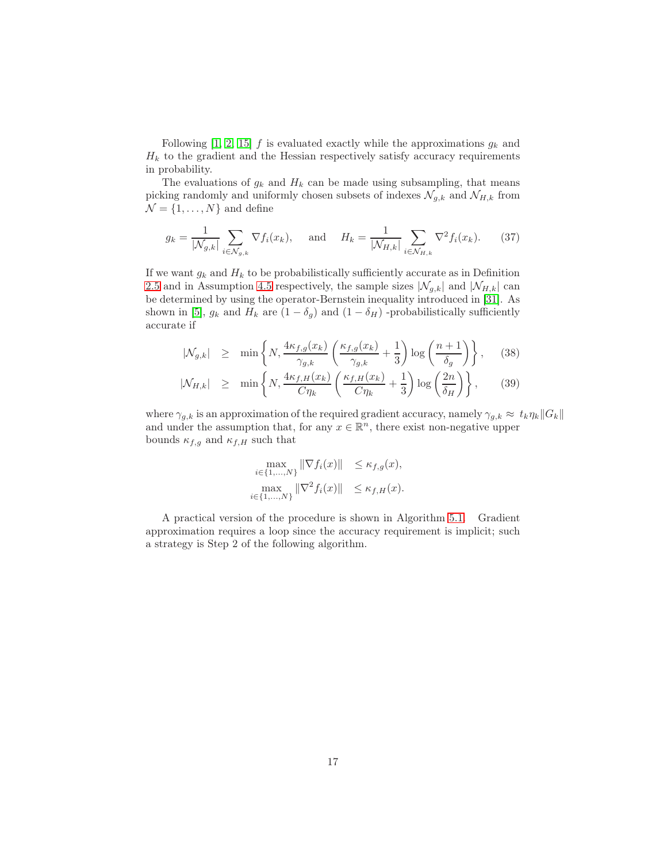Following [\[1,](#page-18-0) [2,](#page-18-1) [15\]](#page-19-12) f is evaluated exactly while the approximations  $g_k$  and  $H_k$  to the gradient and the Hessian respectively satisfy accuracy requirements in probability.

The evaluations of  $g_k$  and  $H_k$  can be made using subsampling, that means picking randomly and uniformly chosen subsets of indexes  $\mathcal{N}_{g,k}$  and  $\mathcal{N}_{H,k}$  from  $\mathcal{N} = \{1, \ldots, N\}$  and define

<span id="page-16-0"></span>
$$
g_k = \frac{1}{|\mathcal{N}_{g,k}|} \sum_{i \in \mathcal{N}_{g,k}} \nabla f_i(x_k), \quad \text{and} \quad H_k = \frac{1}{|\mathcal{N}_{H,k}|} \sum_{i \in \mathcal{N}_{H,k}} \nabla^2 f_i(x_k). \tag{37}
$$

If we want  $g_k$  and  $H_k$  to be probabilistically sufficiently accurate as in Definition [2.5](#page-4-1) and in Assumption [4.5](#page-14-1) respectively, the sample sizes  $|\mathcal{N}_{q,k}|$  and  $|\mathcal{N}_{H,k}|$  can be determined by using the operator-Bernstein inequality introduced in [\[31\]](#page-20-7). As shown in [\[5\]](#page-18-4),  $g_k$  and  $H_k$  are  $(1 - \delta_q)$  and  $(1 - \delta_H)$  -probabilistically sufficiently accurate if

<span id="page-16-1"></span>
$$
|\mathcal{N}_{g,k}| \geq \min \left\{ N, \frac{4\kappa_{f,g}(x_k)}{\gamma_{g,k}} \left( \frac{\kappa_{f,g}(x_k)}{\gamma_{g,k}} + \frac{1}{3} \right) \log \left( \frac{n+1}{\delta_g} \right) \right\}, \quad (38)
$$
  

$$
|\mathcal{N}_{H,k}| \geq \min \left\{ N, \frac{4\kappa_{f,H}(x_k)}{C\eta_k} \left( \frac{\kappa_{f,H}(x_k)}{C\eta_k} + \frac{1}{3} \right) \log \left( \frac{2n}{\delta_H} \right) \right\}, \quad (39)
$$

where  $\gamma_{q,k}$  is an approximation of the required gradient accuracy, namely  $\gamma_{q,k} \approx t_k \eta_k ||G_k||$ and under the assumption that, for any  $x \in \mathbb{R}^n$ , there exist non-negative upper bounds  $\kappa_{f,g}$  and  $\kappa_{f,H}$  such that

$$
\max_{i \in \{1, \ldots, N\}} \|\nabla f_i(x)\| \le \kappa_{f,g}(x),
$$
  

$$
\max_{i \in \{1, \ldots, N\}} \|\nabla^2 f_i(x)\| \le \kappa_{f,H}(x).
$$

A practical version of the procedure is shown in Algorithm [5.1.](#page-17-0) Gradient approximation requires a loop since the accuracy requirement is implicit; such a strategy is Step 2 of the following algorithm.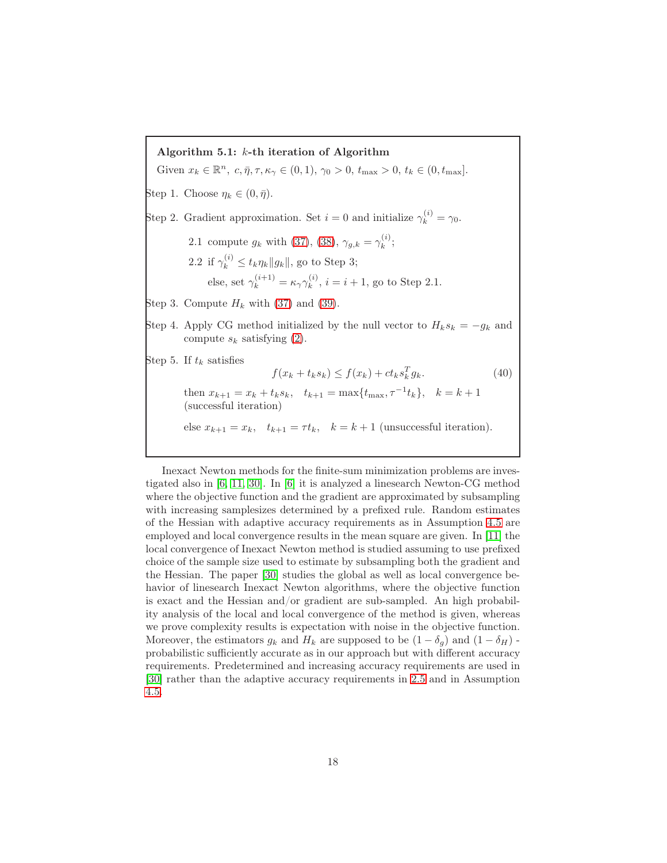Algorithm 5.1: k-th iteration of Algorithm

Given  $x_k \in \mathbb{R}^n$ ,  $c, \bar{\eta}, \tau, \kappa_\gamma \in (0, 1), \gamma_0 > 0$ ,  $t_{\max} > 0$ ,  $t_k \in (0, t_{\max})$ .

Step 1. Choose  $\eta_k \in (0, \bar{\eta}).$ 

Step 2. Gradient approximation. Set  $i = 0$  and initialize  $\gamma_k^{(i)} = \gamma_0$ .

- 2.1 compute  $g_k$  with [\(37\)](#page-16-0), [\(38\)](#page-16-1),  $\gamma_{g,k} = \gamma_k^{(i)}$  $\mathbf{r}^{(i)}_k;$ 
	- 2.2 if  $\gamma_k^{(i)}$  $\mathbf{k}^{(i)} \leq t_k \eta_k ||g_k||$ , go to Step 3; else, set  $\gamma_k^{(i+1)} = \kappa_\gamma \gamma_k^{(i)}$  $k^{(i)}$ ,  $i = i + 1$ , go to Step 2.1.

Step 3. Compute  $H_k$  with [\(37\)](#page-16-0) and [\(39\)](#page-16-1).

Step 4. Apply CG method initialized by the null vector to  $H_k s_k = -g_k$  and compute  $s_k$  satisfying [\(2\)](#page-1-1).

Step 5. If  $t_k$  satisfies

<span id="page-17-0"></span>
$$
f(x_k + t_k s_k) \le f(x_k) + ct_k s_k^T g_k. \tag{40}
$$

then  $x_{k+1} = x_k + t_k s_k$ ,  $t_{k+1} = \max\{t_{\max}, \tau^{-1} t_k\}$ ,  $k = k+1$ (successful iteration)

else  $x_{k+1} = x_k$ ,  $t_{k+1} = \tau t_k$ ,  $k = k+1$  (unsuccessful iteration).

Inexact Newton methods for the finite-sum minimization problems are investigated also in [\[6,](#page-18-5) [11,](#page-18-10) [30\]](#page-20-2). In [\[6\]](#page-18-5) it is analyzed a linesearch Newton-CG method where the objective function and the gradient are approximated by subsampling with increasing samplesizes determined by a prefixed rule. Random estimates of the Hessian with adaptive accuracy requirements as in Assumption [4.5](#page-14-1) are employed and local convergence results in the mean square are given. In [\[11\]](#page-18-10) the local convergence of Inexact Newton method is studied assuming to use prefixed choice of the sample size used to estimate by subsampling both the gradient and the Hessian. The paper [\[30\]](#page-20-2) studies the global as well as local convergence behavior of linesearch Inexact Newton algorithms, where the objective function is exact and the Hessian and/or gradient are sub-sampled. An high probability analysis of the local and local convergence of the method is given, whereas we prove complexity results is expectation with noise in the objective function. Moreover, the estimators  $g_k$  and  $H_k$  are supposed to be  $(1 - \delta_q)$  and  $(1 - \delta_H)$ . probabilistic sufficiently accurate as in our approach but with different accuracy requirements. Predetermined and increasing accuracy requirements are used in [\[30\]](#page-20-2) rather than the adaptive accuracy requirements in [2.5](#page-4-1) and in Assumption [4.5.](#page-14-1)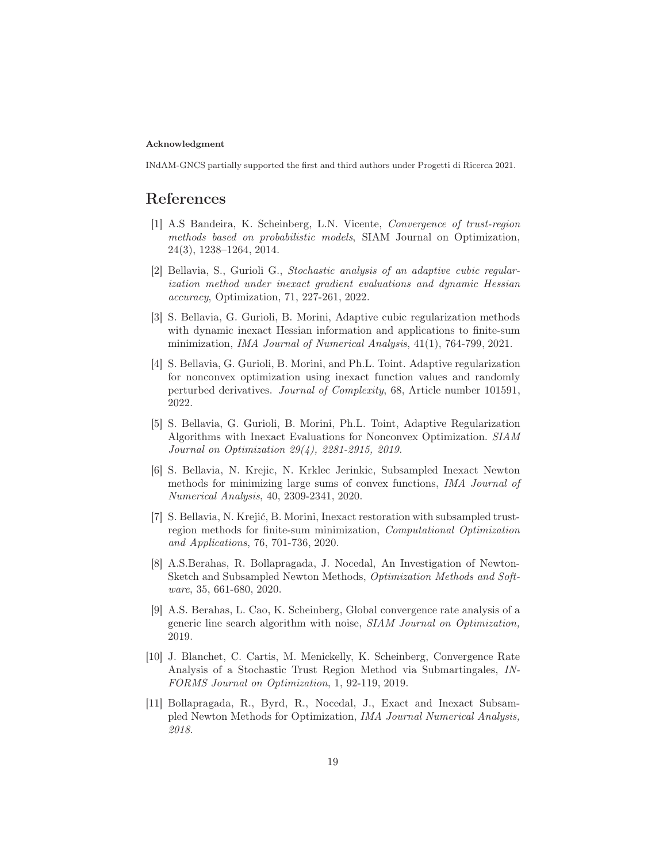### Acknowledgment

INdAM-GNCS partially supported the first and third authors under Progetti di Ricerca 2021.

# <span id="page-18-0"></span>References

- [1] A.S Bandeira, K. Scheinberg, L.N. Vicente, Convergence of trust-region methods based on probabilistic models, SIAM Journal on Optimization, 24(3), 1238–1264, 2014.
- <span id="page-18-1"></span>[2] Bellavia, S., Gurioli G., Stochastic analysis of an adaptive cubic regularization method under inexact gradient evaluations and dynamic Hessian accuracy, Optimization, 71, 227-261, 2022.
- <span id="page-18-2"></span>[3] S. Bellavia, G. Gurioli, B. Morini, Adaptive cubic regularization methods with dynamic inexact Hessian information and applications to finite-sum minimization, IMA Journal of Numerical Analysis, 41(1), 764-799, 2021.
- <span id="page-18-3"></span>[4] S. Bellavia, G. Gurioli, B. Morini, and Ph.L. Toint. Adaptive regularization for nonconvex optimization using inexact function values and randomly perturbed derivatives. Journal of Complexity, 68, Article number 101591, 2022.
- <span id="page-18-4"></span>[5] S. Bellavia, G. Gurioli, B. Morini, Ph.L. Toint, Adaptive Regularization Algorithms with Inexact Evaluations for Nonconvex Optimization. SIAM Journal on Optimization 29(4), 2281-2915, 2019.
- <span id="page-18-5"></span>[6] S. Bellavia, N. Krejic, N. Krklec Jerinkic, Subsampled Inexact Newton methods for minimizing large sums of convex functions, IMA Journal of Numerical Analysis, 40, 2309-2341, 2020.
- <span id="page-18-6"></span>[7] S. Bellavia, N. Krejić, B. Morini, Inexact restoration with subsampled trustregion methods for finite-sum minimization, Computational Optimization and Applications, 76, 701-736, 2020.
- <span id="page-18-7"></span>[8] A.S.Berahas, R. Bollapragada, J. Nocedal, An Investigation of Newton-Sketch and Subsampled Newton Methods, Optimization Methods and Software, 35, 661-680, 2020.
- <span id="page-18-8"></span>[9] A.S. Berahas, L. Cao, K. Scheinberg, Global convergence rate analysis of a generic line search algorithm with noise, SIAM Journal on Optimization, 2019.
- <span id="page-18-9"></span>[10] J. Blanchet, C. Cartis, M. Menickelly, K. Scheinberg, Convergence Rate Analysis of a Stochastic Trust Region Method via Submartingales, IN-FORMS Journal on Optimization, 1, 92-119, 2019.
- <span id="page-18-10"></span>[11] Bollapragada, R., Byrd, R., Nocedal, J., Exact and Inexact Subsampled Newton Methods for Optimization, IMA Journal Numerical Analysis, 2018.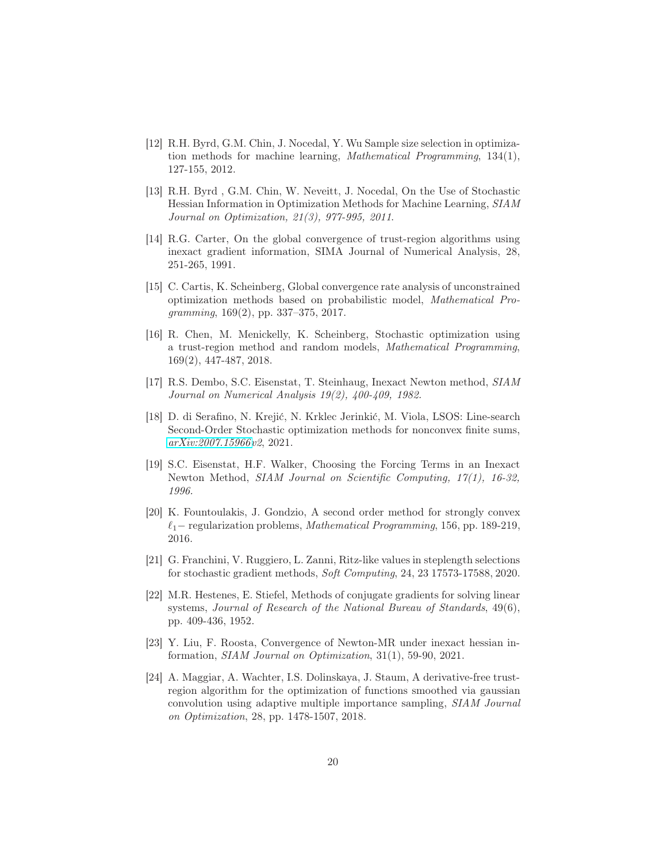- <span id="page-19-3"></span>[12] R.H. Byrd, G.M. Chin, J. Nocedal, Y. Wu Sample size selection in optimization methods for machine learning, Mathematical Programming, 134(1), 127-155, 2012.
- <span id="page-19-4"></span>[13] R.H. Byrd , G.M. Chin, W. Neveitt, J. Nocedal, On the Use of Stochastic Hessian Information in Optimization Methods for Machine Learning, SIAM Journal on Optimization, 21(3), 977-995, 2011.
- <span id="page-19-1"></span>[14] R.G. Carter, On the global convergence of trust-region algorithms using inexact gradient information, SIMA Journal of Numerical Analysis, 28, 251-265, 1991.
- <span id="page-19-12"></span>[15] C. Cartis, K. Scheinberg, Global convergence rate analysis of unconstrained optimization methods based on probabilistic model, Mathematical Programming, 169(2), pp. 337–375, 2017.
- <span id="page-19-5"></span>[16] R. Chen, M. Menickelly, K. Scheinberg, Stochastic optimization using a trust-region method and random models, Mathematical Programming, 169(2), 447-487, 2018.
- <span id="page-19-9"></span>[17] R.S. Dembo, S.C. Eisenstat, T. Steinhaug, Inexact Newton method, SIAM Journal on Numerical Analysis 19(2), 400-409, 1982.
- <span id="page-19-6"></span>[18] D. di Serafino, N. Krejić, N. Krklec Jerinkić, M. Viola, LSOS: Line-search Second-Order Stochastic optimization methods for nonconvex finite sums, [arXiv:2007.15966v](http://arxiv.org/abs/2007.15966)2, 2021.
- <span id="page-19-2"></span>[19] S.C. Eisenstat, H.F. Walker, Choosing the Forcing Terms in an Inexact Newton Method, SIAM Journal on Scientific Computing, 17(1), 16-32, 1996.
- <span id="page-19-10"></span>[20] K. Fountoulakis, J. Gondzio, A second order method for strongly convex  $\ell_1$  – regularization problems, Mathematical Programming, 156, pp. 189-219, 2016.
- <span id="page-19-7"></span>[21] G. Franchini, V. Ruggiero, L. Zanni, Ritz-like values in steplength selections for stochastic gradient methods, Soft Computing, 24, 23 17573-17588, 2020.
- <span id="page-19-0"></span>[22] M.R. Hestenes, E. Stiefel, Methods of conjugate gradients for solving linear systems, Journal of Research of the National Bureau of Standards, 49(6), pp. 409-436, 1952.
- <span id="page-19-8"></span>[23] Y. Liu, F. Roosta, Convergence of Newton-MR under inexact hessian information, SIAM Journal on Optimization, 31(1), 59-90, 2021.
- <span id="page-19-11"></span>[24] A. Maggiar, A. Wachter, I.S. Dolinskaya, J. Staum, A derivative-free trustregion algorithm for the optimization of functions smoothed via gaussian convolution using adaptive multiple importance sampling, SIAM Journal on Optimization, 28, pp. 1478-1507, 2018.